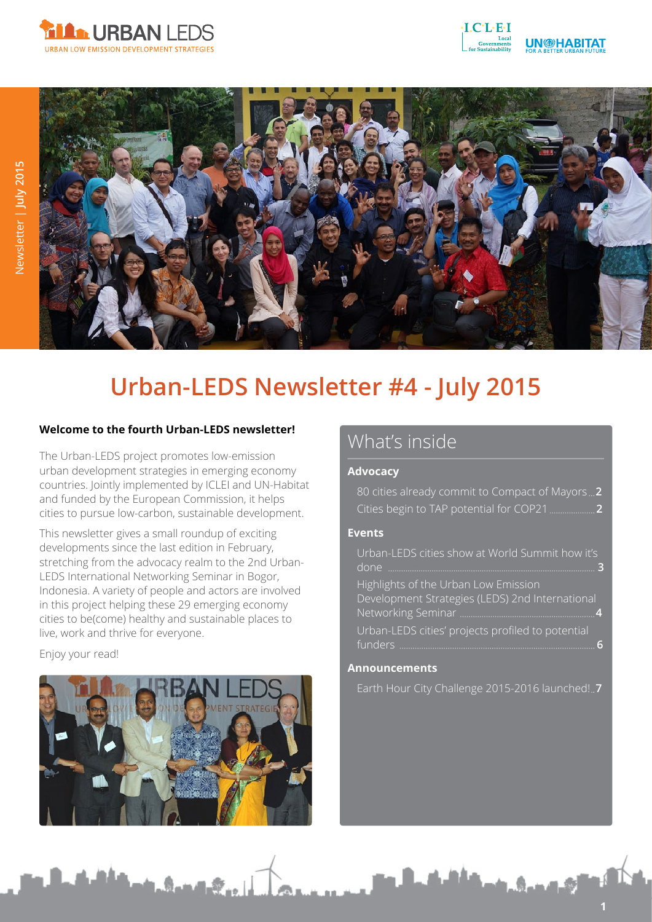





# **Urban-LEDS Newsletter #4 - July 2015**

### **Welcome to the fourth Urban-LEDS newsletter!**

The Urban-LEDS project promotes low-emission urban development strategies in emerging economy countries. Jointly implemented by ICLEI and UN-Habitat and funded by the European Commission, it helps cities to pursue low-carbon, sustainable development.

This newsletter gives a small roundup of exciting developments since the last edition in February, stretching from the advocacy realm to the 2nd Urban-LEDS International Networking Seminar in Bogor, Indonesia. A variety of people and actors are involved in this project helping these 29 emerging economy cities to be(come) healthy and sustainable places to live, work and thrive for everyone.

#### Enjoy your read!



# What's inside

### **Advocacy**

80 cities already commit to Compact of Mayors **2** Cities begin to TAP potential for COP21 **2**

### **Events**

Urban-LEDS cities show at World Summit how it's done **3**

Highlights of the Urban Low Emission Development Strategies (LEDS) 2nd International Networking Seminar **4**

Urban-LEDS cities' projects profiled to potential funders **6**

#### **Announcements**

Earth Hour City Challenge 2015-2016 launched! **7**

**1**

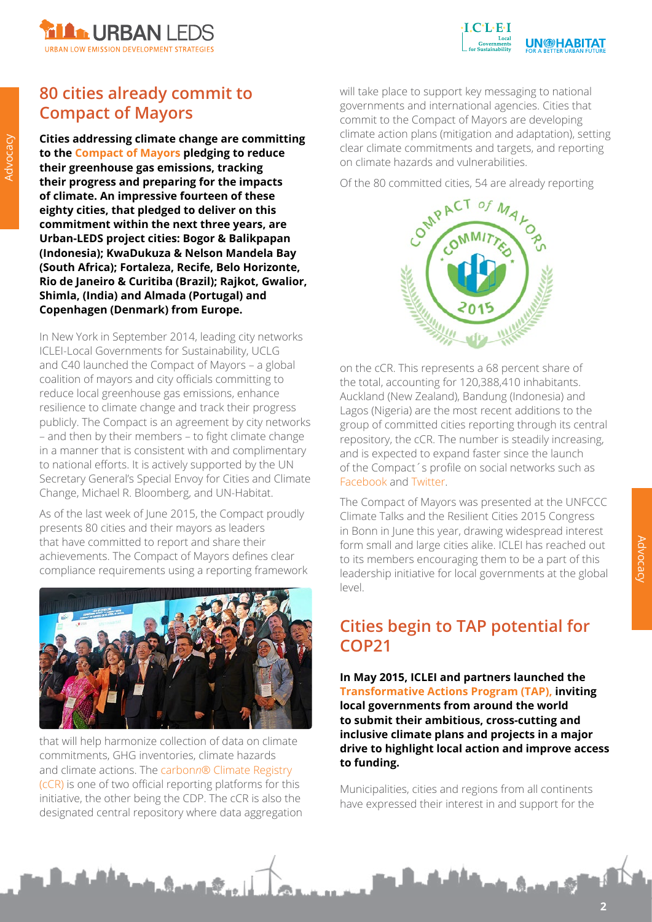



# **80 cities already commit to Compact of Mayors**

**Cities addressing climate change are committing to the [Compact of Mayors](http://www.compactofmayors.org/) pledging to reduce their greenhouse gas emissions, tracking their progress and preparing for the impacts of climate. An impressive fourteen of these eighty cities, that pledged to deliver on this commitment within the next three years, are Urban-LEDS project cities: Bogor & Balikpapan (Indonesia); KwaDukuza & Nelson Mandela Bay (South Africa); Fortaleza, Recife, Belo Horizonte, Rio de Janeiro & Curitiba (Brazil); Rajkot, Gwalior, Shimla, (India) and Almada (Portugal) and Copenhagen (Denmark) from Europe.**

In New York in September 2014, leading city networks ICLEI-Local Governments for Sustainability, UCLG and C40 launched the Compact of Mayors – a global coalition of mayors and city officials committing to reduce local greenhouse gas emissions, enhance resilience to climate change and track their progress publicly. The Compact is an agreement by city networks – and then by their members – to fight climate change in a manner that is consistent with and complimentary to national efforts. It is actively supported by the UN Secretary General's Special Envoy for Cities and Climate Change, Michael R. Bloomberg, and UN-Habitat.

As of the last week of June 2015, the Compact proudly presents 80 cities and their mayors as leaders that have committed to report and share their achievements. The Compact of Mayors defines clear compliance requirements using a reporting framework



that will help harmonize collection of data on climate commitments, GHG inventories, climate hazards and climate actions. The carbon*n*[® Climate Registry](http://carbonn.org/climateregistry/)  [\(cCR\)](http://carbonn.org/climateregistry/) is one of two official reporting platforms for this initiative, the other being the CDP. The cCR is also the designated central repository where data aggregation

**A. Sand S.** 

will take place to support key messaging to national governments and international agencies. Cities that commit to the Compact of Mayors are developing climate action plans (mitigation and adaptation), setting clear climate commitments and targets, and reporting on climate hazards and vulnerabilities.

Of the 80 committed cities, 54 are already reporting



on the cCR. This represents a 68 percent share of the total, accounting for 120,388,410 inhabitants. Auckland (New Zealand), Bandung (Indonesia) and Lagos (Nigeria) are the most recent additions to the group of committed cities reporting through its central repository, the cCR. The number is steadily increasing, and is expected to expand faster since the launch of the Compact´s profile on social networks such as [Facebook](https://www.facebook.com/compactofmayors?fref=ts) and [Twitter.](https://twitter.com/CompactofMayors)

The Compact of Mayors was presented at the UNFCCC Climate Talks and the Resilient Cities 2015 Congress in Bonn in June this year, drawing widespread interest form small and large cities alike. ICLEI has reached out to its members encouraging them to be a part of this leadership initiative for local governments at the global level.

# **Cities begin to TAP potential for COP21**

**In May 2015, ICLEI and partners launched the [Transformative Actions Program \(TAP\),](http://tap-potential.org/) inviting local governments from around the world to submit their ambitious, cross-cutting and inclusive climate plans and projects in a major drive to highlight local action and improve access to funding.**

Municipalities, cities and regions from all continents have expressed their interest in and support for the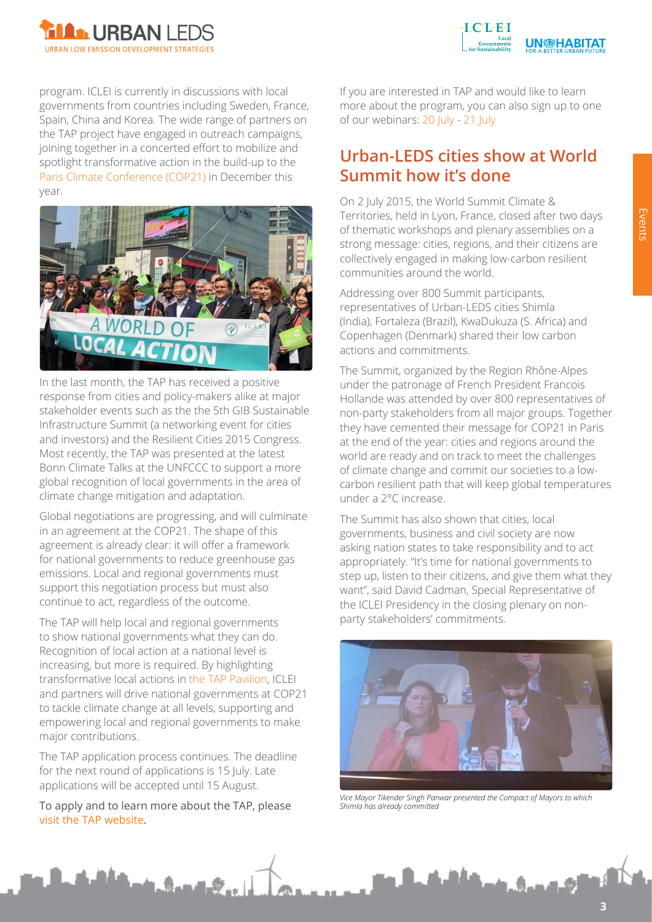



program. ICLEI is currently in discussions with local governments from countries including Sweden, France, Spain, China and Korea. The wide range of partners on the TAP project have engaged in outreach campaigns, joining together in a concerted effort to mobilize and spotlight transformative action in the build-up to the [Paris Climate Conference \(COP21\)](http://cop21.gouv.fr/) in December this year.



In the last month, the TAP has received a positive response from cities and policy-makers alike at major stakeholder events such as the the 5th GIB Sustainable Infrastructure Summit (a networking event for cities and investors) and the Resilient Cities 2015 Congress. Most recently, the TAP was presented at the latest Bonn Climate Talks at the UNFCCC to support a more global recognition of local governments in the area of climate change mitigation and adaptation.

Global negotiations are progressing, and will culminate in an agreement at the COP21. The shape of this agreement is already clear: it will offer a framework for national governments to reduce greenhouse gas emissions. Local and regional governments must support this negotiation process but must also continue to act, regardless of the outcome.

The TAP will help local and regional governments to show national governments what they can do. Recognition of local action at a national level is increasing, but more is required. By highlighting transformative local actions in [the TAP Pavilion](http://tap-potential.org/tap2015-pavillion/), ICLEI and partners will drive national governments at COP21 to tackle climate change at all levels, supporting and empowering local and regional governments to make major contributions.

The TAP application process continues. The deadline for the next round of applications is 15 July. Late applications will be accepted until 15 August.

To apply and to learn more about the TAP, please [visit the TAP website](http://tap-potential.org/).

A. Sand S

If you are interested in TAP and would like to learn more about the program, you can also sign up to one of our webinars: [20 July](https://attendee.gotowebinar.com/register/4239463216411049986) - [21 July](https://attendee.gotowebinar.com/register/890887359879737602)

### **Urban-LEDS cities show at World Summit how it's done**

On 2 July 2015, the World Summit Climate & Territories, held in Lyon, France, closed after two days of thematic workshops and plenary assemblies on a strong message: cities, regions, and their citizens are collectively engaged in making low-carbon resilient communities around the world.

Addressing over 800 Summit participants, representatives of Urban-LEDS cities Shimla (India), Fortaleza (Brazil), KwaDukuza (S. Africa) and Copenhagen (Denmark) shared their low carbon actions and commitments.

The Summit, organized by the Region Rhône-Alpes under the patronage of French President Francois Hollande was attended by over 800 representatives of non-party stakeholders from all major groups. Together they have cemented their message for COP21 in Paris at the end of the year: cities and regions around the world are ready and on track to meet the challenges of climate change and commit our societies to a lowcarbon resilient path that will keep global temperatures under a 2°C increase.

The Summit has also shown that cities, local governments, business and civil society are now asking nation states to take responsibility and to act appropriately. "It's time for national governments to step up, listen to their citizens, and give them what they want", said David Cadman, Special Representative of the ICLEI Presidency in the closing plenary on nonparty stakeholders' commitments.



*Vice Mayor Tikender Singh Panwar presented the Compact of Mayors to which Shimla has already committed*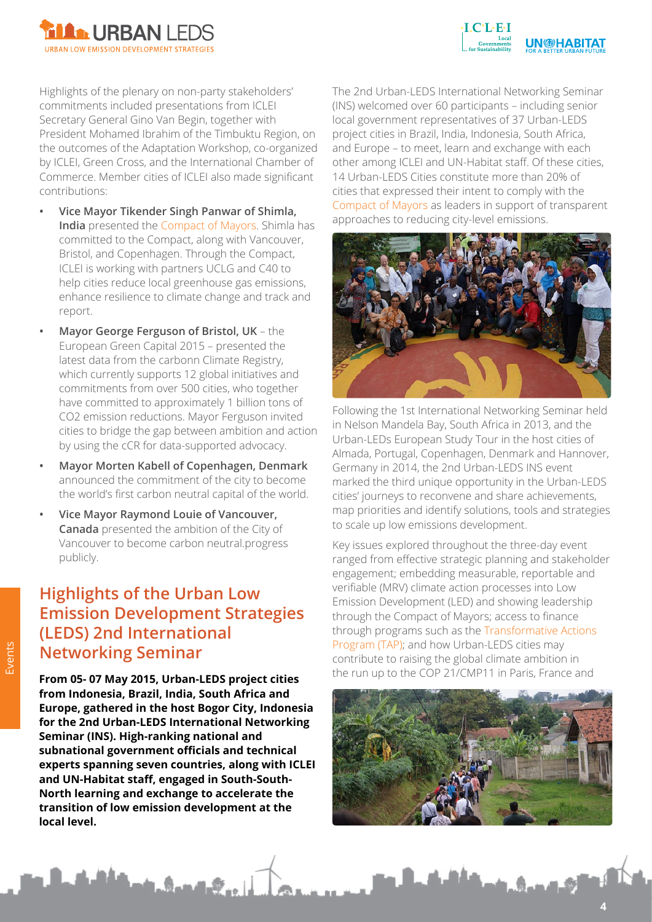



Highlights of the plenary on non-party stakeholders' commitments included presentations from ICLEI Secretary General Gino Van Begin, together with President Mohamed Ibrahim of the Timbuktu Region, on the outcomes of the Adaptation Workshop, co-organized by ICLEI, Green Cross, and the International Chamber of Commerce. Member cities of ICLEI also made significant contributions:

- **• Vice Mayor Tikender Singh Panwar of Shimla, India** presented the [Compact of Mayors](http://Compact of Mayors). Shimla has committed to the Compact, along with Vancouver, Bristol, and Copenhagen. Through the Compact, ICLEI is working with partners UCLG and C40 to help cities reduce local greenhouse gas emissions, enhance resilience to climate change and track and report.
- **• Mayor George Ferguson of Bristol, UK** the European Green Capital 2015 – presented the latest data from the carbonn Climate Registry, which currently supports 12 global initiatives and commitments from over 500 cities, who together have committed to approximately 1 billion tons of CO2 emission reductions. Mayor Ferguson invited cities to bridge the gap between ambition and action by using the cCR for data-supported advocacy.
- **• Mayor Morten Kabell of Copenhagen, Denmark** announced the commitment of the city to become the world's first carbon neutral capital of the world.
- **• Vice Mayor Raymond Louie of Vancouver, Canada** presented the ambition of the City of Vancouver to become carbon neutral.progress publicly.

# **Highlights of the Urban Low Emission Development Strategies (LEDS) 2nd International Networking Seminar**

**From 05- 07 May 2015, Urban-LEDS project cities from Indonesia, Brazil, India, South Africa and Europe, gathered in the host Bogor City, Indonesia for the 2nd Urban-LEDS International Networking Seminar (INS). High-ranking national and subnational government officials and technical experts spanning seven countries, along with ICLEI and UN-Habitat staff, engaged in South-South-North learning and exchange to accelerate the transition of low emission development at the local level.**

Langer

The 2nd Urban-LEDS International Networking Seminar (INS) welcomed over 60 participants – including senior local government representatives of 37 Urban-LEDS project cities in Brazil, India, Indonesia, South Africa, and Europe – to meet, learn and exchange with each other among ICLEI and UN-Habitat staff. Of these cities, 14 Urban-LEDS Cities constitute more than 20% of cities that expressed their intent to comply with the [Compact of Mayors](http://www.compactofmayors.org/) as leaders in support of transparent approaches to reducing city-level emissions.



Following the 1st International Networking Seminar held in Nelson Mandela Bay, South Africa in 2013, and the Urban-LEDs European Study Tour in the host cities of Almada, Portugal, Copenhagen, Denmark and Hannover, Germany in 2014, the 2nd Urban-LEDS INS event marked the third unique opportunity in the Urban-LEDS cities' journeys to reconvene and share achievements, map priorities and identify solutions, tools and strategies to scale up low emissions development.

Key issues explored throughout the three-day event ranged from effective strategic planning and stakeholder engagement; embedding measurable, reportable and verifiable (MRV) climate action processes into Low Emission Development (LED) and showing leadership through the Compact of Mayors; access to finance through programs such as the [Transformative Actions](http://tap-potential.org/)  [Program \(TAP\);](http://tap-potential.org/) and how Urban-LEDS cities may contribute to raising the global climate ambition in the run up to the COP 21/CMP11 in Paris, France and

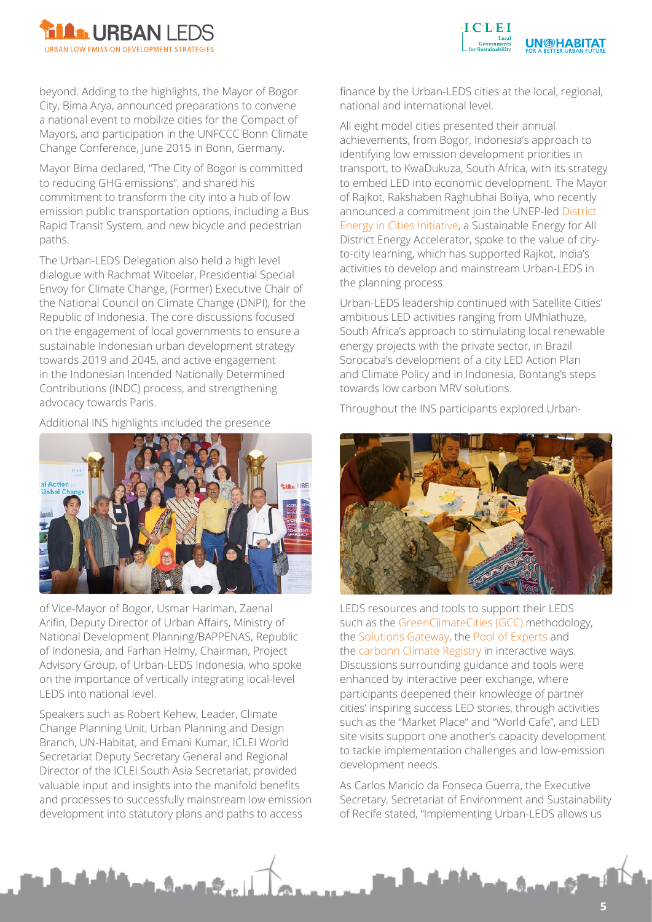



beyond. Adding to the highlights, the Mayor of Bogor City, Bima Arya, announced preparations to convene a national event to mobilize cities for the Compact of Mayors, and participation in the UNFCCC Bonn Climate Change Conference, June 2015 in Bonn, Germany.

Mayor Bima declared, "The City of Bogor is committed to reducing GHG emissions", and shared his commitment to transform the city into a hub of low emission public transportation options, including a Bus Rapid Transit System, and new bicycle and pedestrian paths.

The Urban-LEDS Delegation also held a high level dialogue with Rachmat Witoelar, Presidential Special Envoy for Climate Change, (Former) Executive Chair of the National Council on Climate Change (DNPI), for the Republic of Indonesia. The core discussions focused on the engagement of local governments to ensure a sustainable Indonesian urban development strategy towards 2019 and 2045, and active engagement in the Indonesian Intended Nationally Determined Contributions (INDC) process, and strengthening advocacy towards Paris.

Additional INS highlights included the presence



of Vice-Mayor of Bogor, Usmar Hariman, Zaenal Arifin, Deputy Director of Urban Affairs, Ministry of National Development Planning/BAPPENAS, Republic of Indonesia, and Farhan Helmy, Chairman, Project Advisory Group, of Urban-LEDS Indonesia, who spoke on the importance of vertically integrating local-level LEDS into national level.

Speakers such as Robert Kehew, Leader, Climate Change Planning Unit, Urban Planning and Design Branch, UN-Habitat, and Emani Kumar, ICLEI World Secretariat Deputy Secretary General and Regional Director of the ICLEI South Asia Secretariat, provided valuable input and insights into the manifold benefits and processes to successfully mainstream low emission development into statutory plans and paths to access

A. Sandale

finance by the Urban-LEDS cities at the local, regional, national and international level.

All eight model cities presented their annual achievements, from Bogor, Indonesia's approach to identifying low emission development priorities in transport, to KwaDukuza, South Africa, with its strategy to embed LED into economic development. The Mayor of Rajkot, Rakshaben Raghubhai Boliya, who recently announced a commitment join the UNEP-led [District](http://www.unep.org/energy/districtenergyincities)  [Energy in Cities Initiative](http://www.unep.org/energy/districtenergyincities), a Sustainable Energy for All District Energy Accelerator, spoke to the value of cityto-city learning, which has supported Rajkot, India's activities to develop and mainstream Urban-LEDS in the planning process.

Urban-LEDS leadership continued with Satellite Cities' ambitious LED activities ranging from UMhlathuze, South Africa's approach to stimulating local renewable energy projects with the private sector, in Brazil Sorocaba's development of a city LED Action Plan and Climate Policy and in Indonesia, Bontang's steps towards low carbon MRV solutions.

Throughout the INS participants explored Urban-



LEDS resources and tools to support their LEDS such as the [GreenClimateCities \(GCC\)](http://www.iclei.org/our-activities/our-agendas/low-carbon-city/gcc.html) methodology, the [Solutions Gateway](http://www.solutions-gateway.org/), the [Pool of Experts a](http://www.solutions-gateway.org/show?page=experts)nd th[e carbonn Climate Registry](http://carbonn.org/) in interactive ways. Discussions surrounding guidance and tools were enhanced by interactive peer exchange, where participants deepened their knowledge of partner cities' inspiring success LED stories, through activities such as the "Market Place" and "World Cafe", and LED site visits support one another's capacity development to tackle implementation challenges and low-emission development needs.

As Carlos Maricio da Fonseca Guerra, the Executive Secretary, Secretariat of Environment and Sustainability of Recife stated, "Implementing Urban-LEDS allows us

i. Gun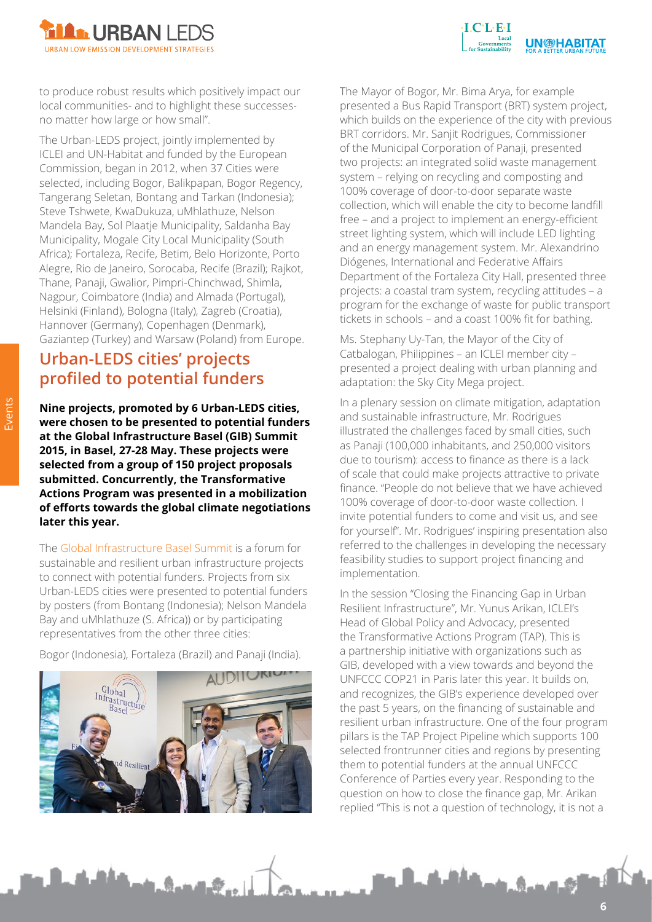



to produce robust results which positively impact our local communities- and to highlight these successesno matter how large or how small".

The Urban-LEDS project, jointly implemented by ICLEI and UN-Habitat and funded by the European Commission, began in 2012, when 37 Cities were selected, including Bogor, Balikpapan, Bogor Regency, Tangerang Seletan, Bontang and Tarkan (Indonesia); Steve Tshwete, KwaDukuza, uMhlathuze, Nelson Mandela Bay, Sol Plaatje Municipality, Saldanha Bay Municipality, Mogale City Local Municipality (South Africa); Fortaleza, Recife, Betim, Belo Horizonte, Porto Alegre, Rio de Janeiro, Sorocaba, Recife (Brazil); Rajkot, Thane, Panaji, Gwalior, Pimpri-Chinchwad, Shimla, Nagpur, Coimbatore (India) and Almada (Portugal), Helsinki (Finland), Bologna (Italy), Zagreb (Croatia), Hannover (Germany), Copenhagen (Denmark), Gaziantep (Turkey) and Warsaw (Poland) from Europe.

# **Urban-LEDS cities' projects profiled to potential funders**

**Nine projects, promoted by 6 Urban-LEDS cities, were chosen to be presented to potential funders at the Global Infrastructure Basel (GIB) Summit 2015, in Basel, 27-28 May. These projects were selected from a group of 150 project proposals submitted. Concurrently, the Transformative Actions Program was presented in a mobilization of efforts towards the global climate negotiations later this year.**

The [Global Infrastructure Basel Summit](http://www.gib-foundation.org/5th-gib-summit/) is a forum for sustainable and resilient urban infrastructure projects to connect with potential funders. Projects from six Urban-LEDS cities were presented to potential funders by posters (from Bontang (Indonesia); Nelson Mandela Bay and uMhlathuze (S. Africa)) or by participating representatives from the other three cities:

Bogor (Indonesia), Fortaleza (Brazil) and Panaji (India).



 $A_1, A_2, A_3$ 

The Mayor of Bogor, Mr. Bima Arya, for example presented a Bus Rapid Transport (BRT) system project, which builds on the experience of the city with previous BRT corridors. Mr. Sanjit Rodrigues, Commissioner of the Municipal Corporation of Panaji, presented two projects: an integrated solid waste management system – relying on recycling and composting and 100% coverage of door-to-door separate waste collection, which will enable the city to become landfill free – and a project to implement an energy-efficient street lighting system, which will include LED lighting and an energy management system. Mr. Alexandrino Diógenes, International and Federative Affairs Department of the Fortaleza City Hall, presented three projects: a coastal tram system, recycling attitudes – a program for the exchange of waste for public transport tickets in schools – and a coast 100% fit for bathing.

Ms. Stephany Uy-Tan, the Mayor of the City of Catbalogan, Philippines – an ICLEI member city – presented a project dealing with urban planning and adaptation: the Sky City Mega project.

In a plenary session on climate mitigation, adaptation and sustainable infrastructure, Mr. Rodrigues illustrated the challenges faced by small cities, such as Panaji (100,000 inhabitants, and 250,000 visitors due to tourism): access to finance as there is a lack of scale that could make projects attractive to private finance. "People do not believe that we have achieved 100% coverage of door-to-door waste collection. I invite potential funders to come and visit us, and see for yourself". Mr. Rodrigues' inspiring presentation also referred to the challenges in developing the necessary feasibility studies to support project financing and implementation.

In the session "Closing the Financing Gap in Urban Resilient Infrastructure", Mr. Yunus Arikan, ICLEI's Head of Global Policy and Advocacy, presented the Transformative Actions Program (TAP). This is a partnership initiative with organizations such as GIB, developed with a view towards and beyond the UNFCCC COP21 in Paris later this year. It builds on, and recognizes, the GIB's experience developed over the past 5 years, on the financing of sustainable and resilient urban infrastructure. One of the four program pillars is the TAP Project Pipeline which supports 100 selected frontrunner cities and regions by presenting them to potential funders at the annual UNFCCC Conference of Parties every year. Responding to the question on how to close the finance gap, Mr. Arikan replied "This is not a question of technology, it is not a